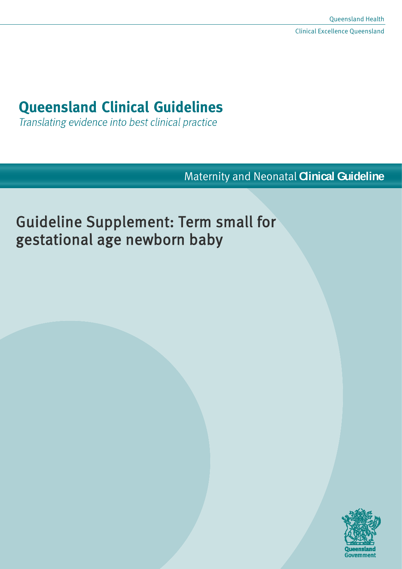# **Queensland Clinical Guidelines**

Translating evidence into best clinical practice

Maternity and Neonatal **Clinical Guideline**

# Guideline Supplement: Term small for gestational age newborn baby

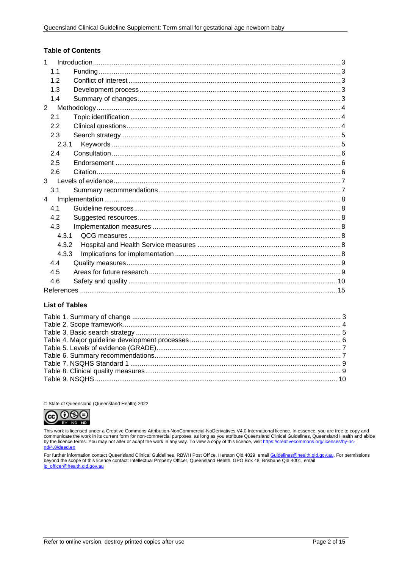#### **Table of Contents**

| 1              |  |
|----------------|--|
| 1 <sub>1</sub> |  |
| 12             |  |
| 1.3            |  |
| 1.4            |  |
| $\overline{2}$ |  |
| 2.1            |  |
| 2.2            |  |
| 2.3            |  |
| 2.3.1          |  |
| 2.4            |  |
| 2.5            |  |
| 2.6            |  |
| 3 <sup>1</sup> |  |
| 3.1            |  |
| $\overline{4}$ |  |
| 41             |  |
| 4.2            |  |
| 4.3            |  |
| 4.3.1          |  |
| 4.3.2          |  |
| 4.3.3          |  |
| 4.4            |  |
| 4.5            |  |
| 4.6            |  |
|                |  |

#### **List of Tables**

© State of Queensland (Queensland Health) 2022



This work is licensed under a Creative Commons Attribution-NonCommercial-NoDerivatives V4.0 International licence. In essence, you are free to copy and<br>communicate the work in its current form for non-commercial purposes, nd/4.0/deed.en

For further information contact Queensland Clinical Guidelines, RBWH Post Office, Herston Qld 4029, email Guidelines@health.qld.gov.au, For permissions beyond the scope of this licence contact: Intellectual Property Officer, Queensland Health, GPO Box 48, Brisbane Qld 4001, email ip\_officer@health.qld.gov.au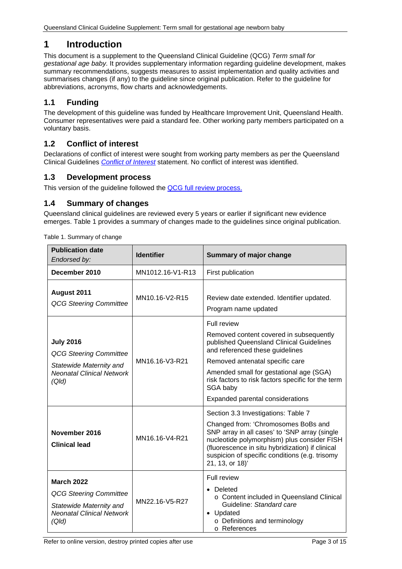# <span id="page-2-0"></span>**1 Introduction**

This document is a supplement to the Queensland Clinical Guideline (QCG) *Term small for gestational age baby.* It provides supplementary information regarding guideline development, makes summary recommendations, suggests measures to assist implementation and quality activities and summarises changes (if any) to the guideline since original publication. Refer to the guideline for abbreviations, acronyms, flow charts and acknowledgements.

## <span id="page-2-1"></span>**1.1 Funding**

The development of this guideline was funded by Healthcare Improvement Unit, Queensland Health. Consumer representatives were paid a standard fee. Other working party members participated on a voluntary basis.

## <span id="page-2-2"></span>**1.2 Conflict of interest**

Declarations of conflict of interest were sought from working party members as per the Queensland Clinical Guidelines *[Conflict of Interest](http://www.health.qld.gov.au/qcg/development#coi)* statement. No conflict of interest was identified.

## <span id="page-2-3"></span>**1.3 Development process**

<span id="page-2-4"></span>This version of the guideline followed the QCG [full review](https://www.health.qld.gov.au/__data/assets/pdf_file/0025/364723/o-developprocess.pdf) process.

## **1.4 Summary of changes**

Queensland clinical guidelines are reviewed every 5 years or earlier if significant new evidence emerges. [Table 1](#page-2-5) provides a summary of changes made to the guidelines since original publication.

<span id="page-2-5"></span>Table 1. Summary of change

| <b>Publication date</b><br>Endorsed by:                                                                                    | <b>Identifier</b>                                                                   | <b>Summary of major change</b>                                                                                                                                                                                                                                                                      |  |
|----------------------------------------------------------------------------------------------------------------------------|-------------------------------------------------------------------------------------|-----------------------------------------------------------------------------------------------------------------------------------------------------------------------------------------------------------------------------------------------------------------------------------------------------|--|
| December 2010                                                                                                              | MN1012.16-V1-R13                                                                    | First publication                                                                                                                                                                                                                                                                                   |  |
| August 2011<br><b>QCG Steering Committee</b>                                                                               | MN10.16-V2-R15<br>Review date extended. Identifier updated.<br>Program name updated |                                                                                                                                                                                                                                                                                                     |  |
| <b>July 2016</b><br><b>QCG Steering Committee</b><br>Statewide Maternity and<br><b>Neonatal Clinical Network</b>           | MN16.16-V3-R21                                                                      | Full review<br>Removed content covered in subsequently<br>published Queensland Clinical Guidelines<br>and referenced these guidelines<br>Removed antenatal specific care<br>Amended small for gestational age (SGA)                                                                                 |  |
| (Q/d)                                                                                                                      |                                                                                     | risk factors to risk factors specific for the term<br>SGA baby<br>Expanded parental considerations                                                                                                                                                                                                  |  |
| November 2016<br><b>Clinical lead</b>                                                                                      | MN16.16-V4-R21                                                                      | Section 3.3 Investigations: Table 7<br>Changed from: 'Chromosomes BoBs and<br>SNP array in all cases' to 'SNP array (single<br>nucleotide polymorphism) plus consider FISH<br>(fluorescence in situ hybridization) if clinical<br>suspicion of specific conditions (e.g. trisomy<br>21, 13, or 18)' |  |
| <b>March 2022</b><br><b>QCG Steering Committee</b><br>Statewide Maternity and<br><b>Neonatal Clinical Network</b><br>(Q/d) | MN22.16-V5-R27                                                                      | <b>Full review</b><br>• Deleted<br>○ Content included in Queensland Clinical<br>Guideline: Standard care<br>• Updated<br>o Definitions and terminology<br>o References                                                                                                                              |  |

Refer to online version, destroy printed copies after use Page 3 of 15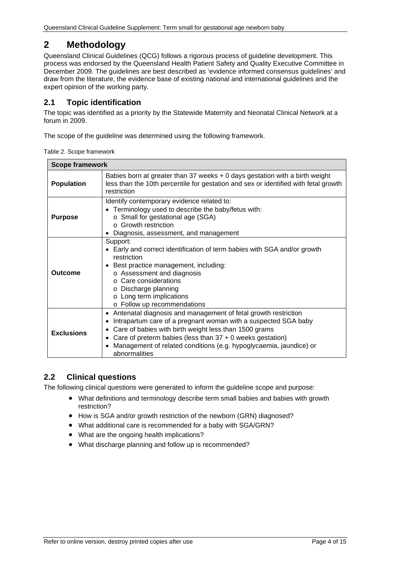# <span id="page-3-0"></span>**2 Methodology**

Queensland Clinical Guidelines (QCG) follows a rigorous process of guideline development. This process was endorsed by the Queensland Health Patient Safety and Quality Executive Committee in December 2009. The guidelines are best described as 'evidence informed consensus guidelines' and draw from the literature, the evidence base of existing national and international guidelines and the expert opinion of the working party.

## <span id="page-3-1"></span>**2.1 Topic identification**

The topic was identified as a priority by the Statewide Maternity and Neonatal Clinical Network at a forum in 2009.

The scope of the guideline was determined using the following framework.

<span id="page-3-3"></span>

|  | Table 2. Scope framework |
|--|--------------------------|
|--|--------------------------|

| <b>Scope framework</b>                                                                                                                                                                                                                                                                                                                                               |                                                                                                                                                                                                                                                                                       |  |  |
|----------------------------------------------------------------------------------------------------------------------------------------------------------------------------------------------------------------------------------------------------------------------------------------------------------------------------------------------------------------------|---------------------------------------------------------------------------------------------------------------------------------------------------------------------------------------------------------------------------------------------------------------------------------------|--|--|
| <b>Population</b>                                                                                                                                                                                                                                                                                                                                                    | Babies born at greater than 37 weeks $+0$ days gestation with a birth weight<br>less than the 10th percentile for gestation and sex or identified with fetal growth<br>restriction                                                                                                    |  |  |
| <b>Purpose</b>                                                                                                                                                                                                                                                                                                                                                       | Identify contemporary evidence related to:<br>Terminology used to describe the baby/fetus with:<br>o Small for gestational age (SGA)<br>○ Growth restriction<br>Diagnosis, assessment, and management                                                                                 |  |  |
| Outcome                                                                                                                                                                                                                                                                                                                                                              | Support:<br>• Early and correct identification of term babies with SGA and/or growth<br>restriction<br>Best practice management, including:<br>o Assessment and diagnosis<br>○ Care considerations<br>o Discharge planning<br>o Long term implications<br>o Follow up recommendations |  |  |
| Antenatal diagnosis and management of fetal growth restriction<br>Intrapartum care of a pregnant woman with a suspected SGA baby<br>Care of babies with birth weight less than 1500 grams<br><b>Exclusions</b><br>Care of preterm babies (less than $37 + 0$ weeks gestation)<br>Management of related conditions (e.g. hypoglycaemia, jaundice) or<br>abnormalities |                                                                                                                                                                                                                                                                                       |  |  |

## <span id="page-3-2"></span>**2.2 Clinical questions**

The following clinical questions were generated to inform the guideline scope and purpose:

- What definitions and terminology describe term small babies and babies with growth restriction?
- How is SGA and/or growth restriction of the newborn (GRN) diagnosed?
- What additional care is recommended for a baby with SGA/GRN?
- What are the ongoing health implications?
- What discharge planning and follow up is recommended?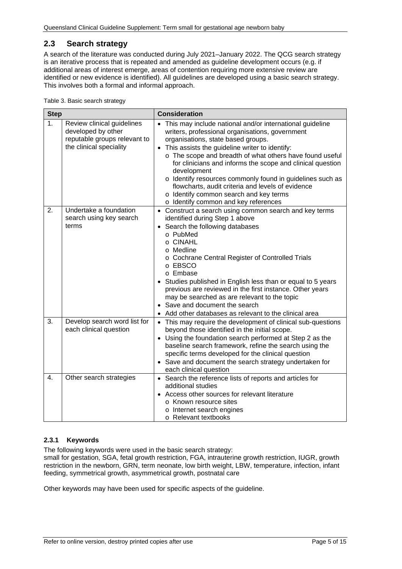## <span id="page-4-0"></span>**2.3 Search strategy**

A search of the literature was conducted during July 2021–January 2022. The QCG search strategy is an iterative process that is repeated and amended as guideline development occurs (e.g. if additional areas of interest emerge, areas of contention requiring more extensive review are identified or new evidence is identified). All guidelines are developed using a basic search strategy. This involves both a formal and informal approach.

<span id="page-4-2"></span>Table 3. Basic search strategy

| <b>Step</b>    |                                                                                                             | <b>Consideration</b>                                                                                                                                                                                                                                                                                                                                                                                                                                                                                                                                 |  |
|----------------|-------------------------------------------------------------------------------------------------------------|------------------------------------------------------------------------------------------------------------------------------------------------------------------------------------------------------------------------------------------------------------------------------------------------------------------------------------------------------------------------------------------------------------------------------------------------------------------------------------------------------------------------------------------------------|--|
| 1 <sub>1</sub> | Review clinical guidelines<br>developed by other<br>reputable groups relevant to<br>the clinical speciality | • This may include national and/or international guideline<br>writers, professional organisations, government<br>organisations, state based groups.<br>• This assists the guideline writer to identify:<br>o The scope and breadth of what others have found useful<br>for clinicians and informs the scope and clinical question<br>development<br>o Identify resources commonly found in guidelines such as<br>flowcharts, audit criteria and levels of evidence<br>o Identify common search and key terms<br>o Identify common and key references |  |
| 2.             | Undertake a foundation<br>search using key search<br>terms                                                  | • Construct a search using common search and key terms<br>identified during Step 1 above<br>Search the following databases<br>$\bullet$<br>o PubMed<br>o CINAHL<br>o Medline<br>o Cochrane Central Register of Controlled Trials<br>o EBSCO<br>o Embase<br>Studies published in English less than or equal to 5 years<br>previous are reviewed in the first instance. Other years<br>may be searched as are relevant to the topic<br>• Save and document the search<br>Add other databases as relevant to the clinical area                          |  |
| 3.             | Develop search word list for<br>each clinical question                                                      | • This may require the development of clinical sub-questions<br>beyond those identified in the initial scope.<br>• Using the foundation search performed at Step 2 as the<br>baseline search framework, refine the search using the<br>specific terms developed for the clinical question<br>• Save and document the search strategy undertaken for<br>each clinical question                                                                                                                                                                        |  |
| 4.             | Other search strategies                                                                                     | • Search the reference lists of reports and articles for<br>additional studies<br>Access other sources for relevant literature<br>o Known resource sites<br>o Internet search engines<br>o Relevant textbooks                                                                                                                                                                                                                                                                                                                                        |  |

#### <span id="page-4-1"></span>**2.3.1 Keywords**

The following keywords were used in the basic search strategy:

small for gestation, SGA, fetal growth restriction, FGA, intrauterine growth restriction, IUGR, growth restriction in the newborn, GRN, term neonate, low birth weight, LBW, temperature, infection, infant feeding, symmetrical growth, asymmetrical growth, postnatal care

Other keywords may have been used for specific aspects of the guideline.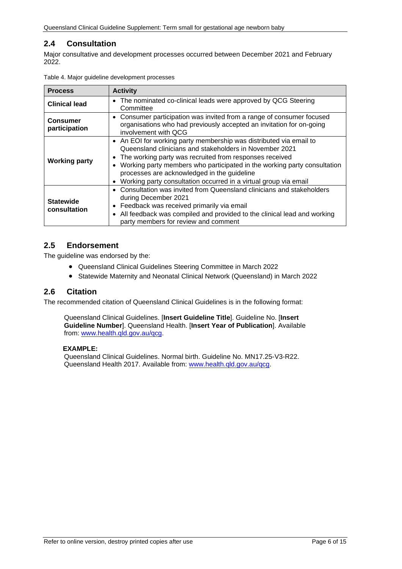## <span id="page-5-0"></span>**2.4 Consultation**

Major consultative and development processes occurred between December 2021 and February 2022.

| rapio 1. major galaolino dovolophioni processos                                                                                                                                                                                                                                                                                                                                                                                                        |                                                                                                                                                                                                                                                                                             |  |  |  |
|--------------------------------------------------------------------------------------------------------------------------------------------------------------------------------------------------------------------------------------------------------------------------------------------------------------------------------------------------------------------------------------------------------------------------------------------------------|---------------------------------------------------------------------------------------------------------------------------------------------------------------------------------------------------------------------------------------------------------------------------------------------|--|--|--|
| <b>Process</b>                                                                                                                                                                                                                                                                                                                                                                                                                                         | <b>Activity</b>                                                                                                                                                                                                                                                                             |  |  |  |
| <b>Clinical lead</b>                                                                                                                                                                                                                                                                                                                                                                                                                                   | • The nominated co-clinical leads were approved by QCG Steering<br>Committee                                                                                                                                                                                                                |  |  |  |
| • Consumer participation was invited from a range of consumer focused<br><b>Consumer</b><br>organisations who had previously accepted an invitation for on-going<br>participation<br>involvement with QCG                                                                                                                                                                                                                                              |                                                                                                                                                                                                                                                                                             |  |  |  |
| • An EOI for working party membership was distributed via email to<br>Queensland clinicians and stakeholders in November 2021<br>The working party was recruited from responses received<br>$\bullet$<br><b>Working party</b><br>Working party members who participated in the working party consultation<br>$\bullet$<br>processes are acknowledged in the guideline<br>Working party consultation occurred in a virtual group via email<br>$\bullet$ |                                                                                                                                                                                                                                                                                             |  |  |  |
| <b>Statewide</b><br>consultation                                                                                                                                                                                                                                                                                                                                                                                                                       | Consultation was invited from Queensland clinicians and stakeholders<br>$\bullet$<br>during December 2021<br>Feedback was received primarily via email<br>٠<br>All feedback was compiled and provided to the clinical lead and working<br>$\bullet$<br>party members for review and comment |  |  |  |

<span id="page-5-3"></span>

| Table 4. Major guideline development processes |  |  |  |
|------------------------------------------------|--|--|--|
|------------------------------------------------|--|--|--|

## <span id="page-5-1"></span>**2.5 Endorsement**

The quideline was endorsed by the:

- Queensland Clinical Guidelines Steering Committee in March 2022
- Statewide Maternity and Neonatal Clinical Network (Queensland) in March 2022

## <span id="page-5-2"></span>**2.6 Citation**

The recommended citation of Queensland Clinical Guidelines is in the following format:

Queensland Clinical Guidelines. [**Insert Guideline Title**]. Guideline No. [**Insert Guideline Number**]. Queensland Health. [**Insert Year of Publication**]. Available from: [www.health.qld.gov.au/qcg.](http://www.health.qld.gov.au/qcg)

#### **EXAMPLE:**

Queensland Clinical Guidelines. Normal birth. Guideline No. MN17.25-V3-R22. Queensland Health 2017. Available from: [www.health.qld.gov.au/qcg.](http://www.health.qld.gov.au/qcg)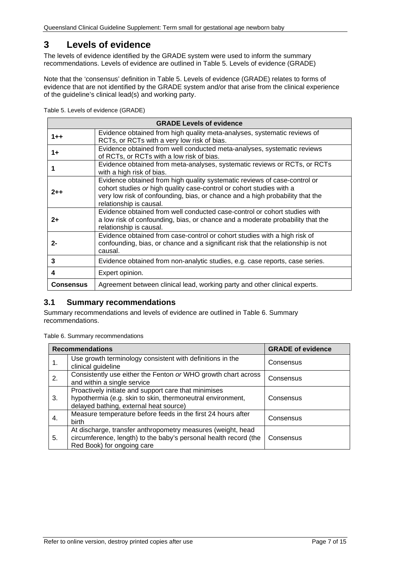# <span id="page-6-0"></span>**3 Levels of evidence**

The levels of evidence identified by the GRADE system were used to inform the summary recommendations. Levels of evidence are outlined in Table 5. [Levels of evidence \(GRADE\)](#page-6-2)

Note that the 'consensus' definition in Table 5. [Levels of evidence \(GRADE\)](#page-6-2) relates to forms of evidence that are not identified by the GRADE system and/or that arise from the clinical experience of the guideline's clinical lead(s) and working party.

<span id="page-6-2"></span>Table 5. Levels of evidence (GRADE)

| <b>GRADE Levels of evidence</b> |                                                                                                                                                                                                                                                               |  |  |
|---------------------------------|---------------------------------------------------------------------------------------------------------------------------------------------------------------------------------------------------------------------------------------------------------------|--|--|
| $1 + +$                         | Evidence obtained from high quality meta-analyses, systematic reviews of<br>RCTs, or RCTs with a very low risk of bias.                                                                                                                                       |  |  |
| $1+$                            | Evidence obtained from well conducted meta-analyses, systematic reviews<br>of RCTs, or RCTs with a low risk of bias.                                                                                                                                          |  |  |
|                                 | Evidence obtained from meta-analyses, systematic reviews or RCTs, or RCTs<br>with a high risk of bias.                                                                                                                                                        |  |  |
| $2 + +$                         | Evidence obtained from high quality systematic reviews of case-control or<br>cohort studies or high quality case-control or cohort studies with a<br>very low risk of confounding, bias, or chance and a high probability that the<br>relationship is causal. |  |  |
| $2+$                            | Evidence obtained from well conducted case-control or cohort studies with<br>a low risk of confounding, bias, or chance and a moderate probability that the<br>relationship is causal.                                                                        |  |  |
| 2-                              | Evidence obtained from case-control or cohort studies with a high risk of<br>confounding, bias, or chance and a significant risk that the relationship is not<br>causal.                                                                                      |  |  |
| 3                               | Evidence obtained from non-analytic studies, e.g. case reports, case series.                                                                                                                                                                                  |  |  |
| 4                               | Expert opinion.                                                                                                                                                                                                                                               |  |  |
| <b>Consensus</b>                | Agreement between clinical lead, working party and other clinical experts.                                                                                                                                                                                    |  |  |

## <span id="page-6-1"></span>**3.1 Summary recommendations**

Summary recommendations and levels of evidence are outlined in Table 6. [Summary](#page-6-3)  [recommendations.](#page-6-3)

<span id="page-6-3"></span>Table 6. Summary recommendations

| <b>Recommendations</b> |                                                                                                                                                               | <b>GRADE of evidence</b> |
|------------------------|---------------------------------------------------------------------------------------------------------------------------------------------------------------|--------------------------|
| 1.                     | Use growth terminology consistent with definitions in the<br>clinical guideline                                                                               | Consensus                |
| 2.                     | Consistently use either the Fenton or WHO growth chart across<br>and within a single service                                                                  | Consensus                |
| 3.                     | Proactively initiate and support care that minimises<br>hypothermia (e.g. skin to skin, thermoneutral environment,<br>delayed bathing, external heat source)  | Consensus                |
| 4.                     | Measure temperature before feeds in the first 24 hours after<br>birth                                                                                         | Consensus                |
| 5.                     | At discharge, transfer anthropometry measures (weight, head<br>circumference, length) to the baby's personal health record (the<br>Red Book) for ongoing care | Consensus                |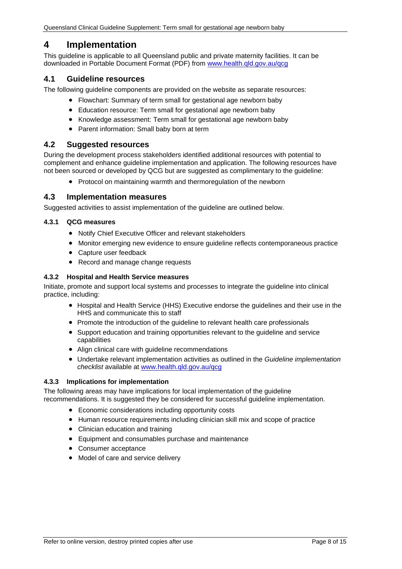# <span id="page-7-0"></span>**4 Implementation**

This guideline is applicable to all Queensland public and private maternity facilities. It can be downloaded in Portable Document Format (PDF) from [www.health.qld.gov.au/qcg](http://www.health.qld.gov.au/qcg)

## <span id="page-7-1"></span>**4.1 Guideline resources**

The following guideline components are provided on the website as separate resources:

- Flowchart: Summary of term small for gestational age newborn baby
- Education resource: Term small for gestational age newborn baby
- Knowledge assessment: Term small for gestational age newborn baby
- Parent information: Small baby born at term

## <span id="page-7-2"></span>**4.2 Suggested resources**

During the development process stakeholders identified additional resources with potential to complement and enhance guideline implementation and application. The following resources have not been sourced or developed by QCG but are suggested as complimentary to the guideline:

• Protocol on maintaining warmth and thermoregulation of the newborn

## <span id="page-7-3"></span>**4.3 Implementation measures**

Suggested activities to assist implementation of the guideline are outlined below.

#### <span id="page-7-4"></span>**4.3.1 QCG measures**

- Notify Chief Executive Officer and relevant stakeholders
- Monitor emerging new evidence to ensure guideline reflects contemporaneous practice
- Capture user feedback
- Record and manage change requests

#### <span id="page-7-5"></span>**4.3.2 Hospital and Health Service measures**

Initiate, promote and support local systems and processes to integrate the guideline into clinical practice, including:

- Hospital and Health Service (HHS) Executive endorse the guidelines and their use in the HHS and communicate this to staff
- Promote the introduction of the guideline to relevant health care professionals
- Support education and training opportunities relevant to the guideline and service capabilities
- Align clinical care with guideline recommendations
- Undertake relevant implementation activities as outlined in the *Guideline implementation checklist* available at [www.health.qld.gov.au/qcg](http://www.health.qld.gov.au/qcg)

#### <span id="page-7-6"></span>**4.3.3 Implications for implementation**

The following areas may have implications for local implementation of the guideline recommendations. It is suggested they be considered for successful guideline implementation.

- Economic considerations including opportunity costs
- Human resource requirements including clinician skill mix and scope of practice
- Clinician education and training
- Equipment and consumables purchase and maintenance
- Consumer acceptance
- Model of care and service delivery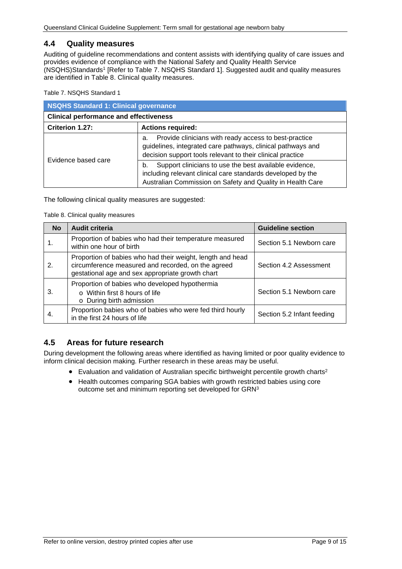## <span id="page-8-0"></span>**4.4 Quality measures**

Auditing of guideline recommendations and content assists with identifying quality of care issues and provides evidence of compliance with the National Safety and Quality Health Service (NSQHS)Standards1 [Refer to Table 7. [NSQHS Standard 1\]](#page-8-2). Suggested audit and quality measures are identified in [Table 8. Clinical quality measures.](#page-8-3)

<span id="page-8-2"></span>Table 7. NSQHS Standard 1

| NSQHS Standard 1: Clinical governance         |                                                                                                                                                                                           |  |  |
|-----------------------------------------------|-------------------------------------------------------------------------------------------------------------------------------------------------------------------------------------------|--|--|
| <b>Clinical performance and effectiveness</b> |                                                                                                                                                                                           |  |  |
| Criterion 1.27:<br><b>Actions required:</b>   |                                                                                                                                                                                           |  |  |
| Evidence based care                           | Provide clinicians with ready access to best-practice<br>a.<br>guidelines, integrated care pathways, clinical pathways and<br>decision support tools relevant to their clinical practice  |  |  |
|                                               | Support clinicians to use the best available evidence,<br>b.<br>including relevant clinical care standards developed by the<br>Australian Commission on Safety and Quality in Health Care |  |  |

<span id="page-8-3"></span>The following clinical quality measures are suggested:

#### Table 8. Clinical quality measures

| <b>No</b>    | Audit criteria                                                                                                                                                       | <b>Guideline section</b>   |
|--------------|----------------------------------------------------------------------------------------------------------------------------------------------------------------------|----------------------------|
|              | Proportion of babies who had their temperature measured<br>within one hour of birth                                                                                  | Section 5.1 Newborn care   |
| $\mathbf{2}$ | Proportion of babies who had their weight, length and head<br>circumference measured and recorded, on the agreed<br>gestational age and sex appropriate growth chart | Section 4.2 Assessment     |
| З.           | Proportion of babies who developed hypothermia<br>o Within first 8 hours of life<br>o During birth admission                                                         | Section 5.1 Newborn care   |
| 4.           | Proportion babies who of babies who were fed third hourly<br>in the first 24 hours of life                                                                           | Section 5.2 Infant feeding |

## <span id="page-8-1"></span>**4.5 Areas for future research**

During development the following areas where identified as having limited or poor quality evidence to inform clinical decision making. Further research in these areas may be useful.

- Evaluation and validation of Australian specific birthweight percentile growth charts<sup>2</sup>
- Health outcomes comparing SGA babies with growth restricted babies using core outcome set and minimum reporting set developed for GRN3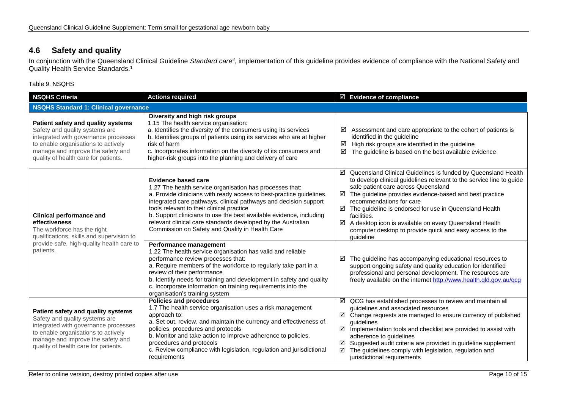## **4.6 Safety and quality**

In conjunction with the Queensland Clinical Guideline *Standard care4*, implementation of this guideline provides evidence of compliance with the National Safety and Quality Health Service Standards.1

Table 9. NSQHS

<span id="page-9-1"></span><span id="page-9-0"></span>

| <b>NSQHS Criteria</b>                                                                                                                                                                                                            | <b>Actions required</b>                                                                                                                                                                                                                                                                                                                                                                                                                                                   | $\boxtimes$ Evidence of compliance                                                                                                                                                                                                                                                                                                                                                                                                                                                                           |  |  |
|----------------------------------------------------------------------------------------------------------------------------------------------------------------------------------------------------------------------------------|---------------------------------------------------------------------------------------------------------------------------------------------------------------------------------------------------------------------------------------------------------------------------------------------------------------------------------------------------------------------------------------------------------------------------------------------------------------------------|--------------------------------------------------------------------------------------------------------------------------------------------------------------------------------------------------------------------------------------------------------------------------------------------------------------------------------------------------------------------------------------------------------------------------------------------------------------------------------------------------------------|--|--|
| <b>NSQHS Standard 1: Clinical governance</b>                                                                                                                                                                                     |                                                                                                                                                                                                                                                                                                                                                                                                                                                                           |                                                                                                                                                                                                                                                                                                                                                                                                                                                                                                              |  |  |
| Patient safety and quality systems<br>Safety and quality systems are<br>integrated with governance processes<br>to enable organisations to actively<br>manage and improve the safety and<br>quality of health care for patients. | Diversity and high risk groups<br>1.15 The health service organisation:<br>a. Identifies the diversity of the consumers using its services<br>b. Identifies groups of patients using its services who are at higher<br>risk of harm<br>c. Incorporates information on the diversity of its consumers and<br>higher-risk groups into the planning and delivery of care                                                                                                     | Assessment and care appropriate to the cohort of patients is<br>☑<br>identified in the guideline<br>High risk groups are identified in the guideline<br>☑<br>The guideline is based on the best available evidence<br>☑                                                                                                                                                                                                                                                                                      |  |  |
| <b>Clinical performance and</b><br>effectiveness<br>The workforce has the right<br>qualifications, skills and supervision to<br>provide safe, high-quality health care to<br>patients.                                           | <b>Evidence based care</b><br>1.27 The health service organisation has processes that:<br>a. Provide clinicians with ready access to best-practice guidelines,<br>integrated care pathways, clinical pathways and decision support<br>tools relevant to their clinical practice<br>b. Support clinicians to use the best available evidence, including<br>relevant clinical care standards developed by the Australian<br>Commission on Safety and Quality in Health Care | Queensland Clinical Guidelines is funded by Queensland Health<br>☑<br>to develop clinical guidelines relevant to the service line to guide<br>safe patient care across Queensland<br>$\boxtimes$ The guideline provides evidence-based and best practice<br>recommendations for care<br>$\boxtimes$ The guideline is endorsed for use in Queensland Health<br>facilities.<br>A desktop icon is available on every Queensland Health<br>computer desktop to provide quick and easy access to the<br>guideline |  |  |
|                                                                                                                                                                                                                                  | Performance management<br>1.22 The health service organisation has valid and reliable<br>performance review processes that:<br>a. Require members of the workforce to regularly take part in a<br>review of their performance<br>b. Identify needs for training and development in safety and quality<br>c. Incorporate information on training requirements into the<br>organisation's training system                                                                   | The guideline has accompanying educational resources to<br>☑<br>support ongoing safety and quality education for identified<br>professional and personal development. The resources are<br>freely available on the internet http://www.health.qld.gov.au/qcg                                                                                                                                                                                                                                                 |  |  |
| Patient safety and quality systems<br>Safety and quality systems are<br>integrated with governance processes<br>to enable organisations to actively<br>manage and improve the safety and<br>quality of health care for patients. | <b>Policies and procedures</b><br>1.7 The health service organisation uses a risk management<br>approach to:<br>a. Set out, review, and maintain the currency and effectiveness of,<br>policies, procedures and protocols<br>b. Monitor and take action to improve adherence to policies,<br>procedures and protocols<br>c. Review compliance with legislation, regulation and jurisdictional<br>requirements                                                             | $\boxtimes$ QCG has established processes to review and maintain all<br>guidelines and associated resources<br>☑ Change requests are managed to ensure currency of published<br>guidelines<br>Implementation tools and checklist are provided to assist with<br>☑<br>adherence to guidelines<br>Suggested audit criteria are provided in guideline supplement<br>☑<br>The guidelines comply with legislation, regulation and<br>☑<br>jurisdictional requirements                                             |  |  |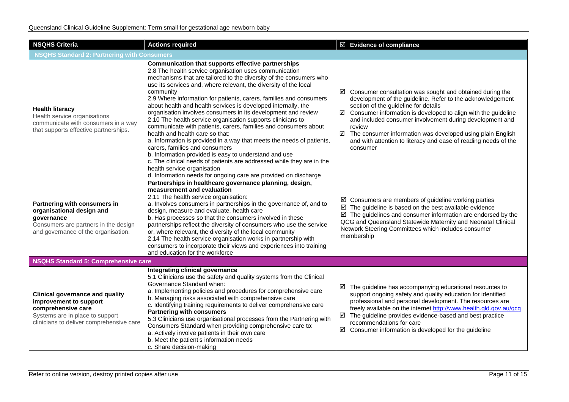| <b>NSQHS Criteria</b>                                                                                                                                                 | <b>Actions required</b>                                                                                                                                                                                                                                                                                                                                                                                                                                                                                                                                                                                                                                                                                                                                                                                                                                                                                                                                                                         | ☑ Evidence of compliance                                                                                                                                                                                                                                                                                                                                                                                                                                                 |  |
|-----------------------------------------------------------------------------------------------------------------------------------------------------------------------|-------------------------------------------------------------------------------------------------------------------------------------------------------------------------------------------------------------------------------------------------------------------------------------------------------------------------------------------------------------------------------------------------------------------------------------------------------------------------------------------------------------------------------------------------------------------------------------------------------------------------------------------------------------------------------------------------------------------------------------------------------------------------------------------------------------------------------------------------------------------------------------------------------------------------------------------------------------------------------------------------|--------------------------------------------------------------------------------------------------------------------------------------------------------------------------------------------------------------------------------------------------------------------------------------------------------------------------------------------------------------------------------------------------------------------------------------------------------------------------|--|
| <b>NSQHS Standard 2: Partnering with Consumers</b>                                                                                                                    |                                                                                                                                                                                                                                                                                                                                                                                                                                                                                                                                                                                                                                                                                                                                                                                                                                                                                                                                                                                                 |                                                                                                                                                                                                                                                                                                                                                                                                                                                                          |  |
| <b>Health literacy</b><br>Health service organisations<br>communicate with consumers in a way<br>that supports effective partnerships.                                | Communication that supports effective partnerships<br>2.8 The health service organisation uses communication<br>mechanisms that are tailored to the diversity of the consumers who<br>use its services and, where relevant, the diversity of the local<br>community<br>2.9 Where information for patients, carers, families and consumers<br>about health and health services is developed internally, the<br>organisation involves consumers in its development and review<br>2.10 The health service organisation supports clinicians to<br>communicate with patients, carers, families and consumers about<br>health and health care so that:<br>a. Information is provided in a way that meets the needs of patients,<br>carers, families and consumers<br>b. Information provided is easy to understand and use<br>c. The clinical needs of patients are addressed while they are in the<br>health service organisation<br>d. Information needs for ongoing care are provided on discharge | $\boxtimes$ Consumer consultation was sought and obtained during the<br>development of the guideline. Refer to the acknowledgement<br>section of the guideline for details<br>Consumer information is developed to align with the guideline<br>☑<br>and included consumer involvement during development and<br>review<br>☑<br>The consumer information was developed using plain English<br>and with attention to literacy and ease of reading needs of the<br>consumer |  |
| Partnering with consumers in<br>organisational design and<br>governance<br>Consumers are partners in the design<br>and governance of the organisation.                | Partnerships in healthcare governance planning, design,<br>measurement and evaluation<br>2.11 The health service organisation:<br>a. Involves consumers in partnerships in the governance of, and to<br>design, measure and evaluate, health care<br>b. Has processes so that the consumers involved in these<br>partnerships reflect the diversity of consumers who use the service<br>or, where relevant, the diversity of the local community<br>2.14 The health service organisation works in partnership with<br>consumers to incorporate their views and experiences into training<br>and education for the workforce                                                                                                                                                                                                                                                                                                                                                                     | $\boxtimes$ Consumers are members of guideline working parties<br>$\boxtimes$ The guideline is based on the best available evidence<br>$\boxtimes$ The guidelines and consumer information are endorsed by the<br>QCG and Queensland Statewide Maternity and Neonatal Clinical<br>Network Steering Committees which includes consumer<br>membership                                                                                                                      |  |
| <b>NSQHS Standard 5: Comprehensive care</b>                                                                                                                           |                                                                                                                                                                                                                                                                                                                                                                                                                                                                                                                                                                                                                                                                                                                                                                                                                                                                                                                                                                                                 |                                                                                                                                                                                                                                                                                                                                                                                                                                                                          |  |
| <b>Clinical governance and quality</b><br>improvement to support<br>comprehensive care<br>Systems are in place to support<br>clinicians to deliver comprehensive care | Integrating clinical governance<br>5.1 Clinicians use the safety and quality systems from the Clinical<br>Governance Standard when:<br>a. Implementing policies and procedures for comprehensive care<br>b. Managing risks associated with comprehensive care<br>c. Identifying training requirements to deliver comprehensive care<br><b>Partnering with consumers</b><br>5.3 Clinicians use organisational processes from the Partnering with<br>Consumers Standard when providing comprehensive care to:<br>a. Actively involve patients in their own care<br>b. Meet the patient's information needs<br>c. Share decision-making                                                                                                                                                                                                                                                                                                                                                            | $\boxtimes$ The guideline has accompanying educational resources to<br>support ongoing safety and quality education for identified<br>professional and personal development. The resources are<br>freely available on the internet http://www.health.qld.gov.au/qcg<br>$\boxtimes$ The guideline provides evidence-based and best practice<br>recommendations for care<br>$\boxtimes$ Consumer information is developed for the guideline                                |  |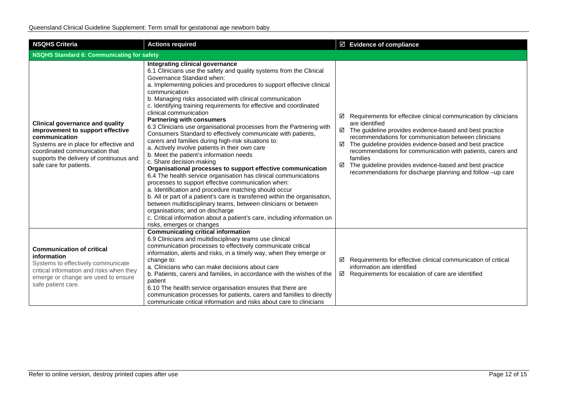| <b>NSQHS Criteria</b>                                                                                                                                                                                                                         | <b>Actions required</b>                                                                                                                                                                                                                                                                                                                                                                                                                                                                                                                                                                                                                                                                                                                                                                                                                                                                                                                                                                                                                                                                                                                                                                                                                                                                            | $\boxtimes$ Evidence of compliance                                                                                                                                                                                                                                                                                                                                                                                                                                                                           |  |  |
|-----------------------------------------------------------------------------------------------------------------------------------------------------------------------------------------------------------------------------------------------|----------------------------------------------------------------------------------------------------------------------------------------------------------------------------------------------------------------------------------------------------------------------------------------------------------------------------------------------------------------------------------------------------------------------------------------------------------------------------------------------------------------------------------------------------------------------------------------------------------------------------------------------------------------------------------------------------------------------------------------------------------------------------------------------------------------------------------------------------------------------------------------------------------------------------------------------------------------------------------------------------------------------------------------------------------------------------------------------------------------------------------------------------------------------------------------------------------------------------------------------------------------------------------------------------|--------------------------------------------------------------------------------------------------------------------------------------------------------------------------------------------------------------------------------------------------------------------------------------------------------------------------------------------------------------------------------------------------------------------------------------------------------------------------------------------------------------|--|--|
| <b>NSQHS Standard 6: Communicating for safety</b>                                                                                                                                                                                             |                                                                                                                                                                                                                                                                                                                                                                                                                                                                                                                                                                                                                                                                                                                                                                                                                                                                                                                                                                                                                                                                                                                                                                                                                                                                                                    |                                                                                                                                                                                                                                                                                                                                                                                                                                                                                                              |  |  |
| <b>Clinical governance and quality</b><br>improvement to support effective<br>communication<br>Systems are in place for effective and<br>coordinated communication that<br>supports the delivery of continuous and<br>safe care for patients. | Integrating clinical governance<br>6.1 Clinicians use the safety and quality systems from the Clinical<br>Governance Standard when:<br>a. Implementing policies and procedures to support effective clinical<br>communication<br>b. Managing risks associated with clinical communication<br>c. Identifying training requirements for effective and coordinated<br>clinical communication<br><b>Partnering with consumers</b><br>6.3 Clinicians use organisational processes from the Partnering with<br>Consumers Standard to effectively communicate with patients,<br>carers and families during high-risk situations to:<br>a. Actively involve patients in their own care<br>b. Meet the patient's information needs<br>c. Share decision-making<br>Organisational processes to support effective communication<br>6.4 The health service organisation has clinical communications<br>processes to support effective communication when:<br>a. Identification and procedure matching should occur<br>b. All or part of a patient's care is transferred within the organisation,<br>between multidisciplinary teams, between clinicians or between<br>organisations; and on discharge<br>c. Critical information about a patient's care, including information on<br>risks, emerges or changes | $\boxtimes$ Requirements for effective clinical communication by clinicians<br>are identified<br>$\boxtimes$ The guideline provides evidence-based and best practice<br>recommendations for communication between clinicians<br>$\boxtimes$ The guideline provides evidence-based and best practice<br>recommendations for communication with patients, carers and<br>families<br>The guideline provides evidence-based and best practice<br>☑<br>recommendations for discharge planning and follow -up care |  |  |
| <b>Communication of critical</b><br>information<br>Systems to effectively communicate<br>critical information and risks when they<br>emerge or change are used to ensure<br>safe patient care.                                                | <b>Communicating critical information</b><br>6.9 Clinicians and multidisciplinary teams use clinical<br>communication processes to effectively communicate critical<br>information, alerts and risks, in a timely way, when they emerge or<br>change to:<br>a. Clinicians who can make decisions about care<br>b. Patients, carers and families, in accordance with the wishes of the<br>patient<br>6.10 The health service organisation ensures that there are<br>communication processes for patients, carers and families to directly<br>communicate critical information and risks about care to clinicians                                                                                                                                                                                                                                                                                                                                                                                                                                                                                                                                                                                                                                                                                    | $\boxtimes$ Requirements for effective clinical communication of critical<br>information are identified<br>$\boxtimes$ Requirements for escalation of care are identified                                                                                                                                                                                                                                                                                                                                    |  |  |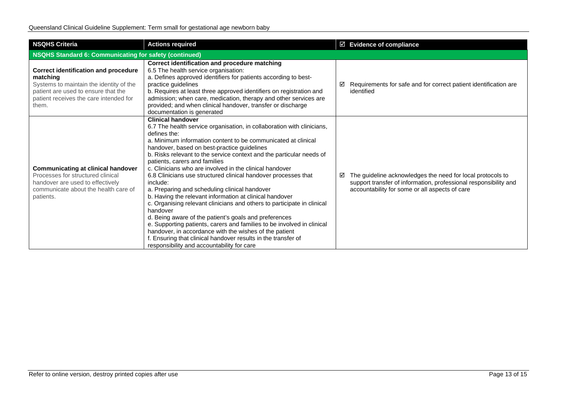| <b>NSQHS Criteria</b>                                                                                                                                                                        | <b>Actions required</b>                                                                                                                                                                                                                                                                                                                                                                                                                                                                                                                                                                                                                                                                                                                                                                                                                                                                                                                                                                             | $\boxtimes$ Evidence of compliance                                                                                                                                                    |  |  |
|----------------------------------------------------------------------------------------------------------------------------------------------------------------------------------------------|-----------------------------------------------------------------------------------------------------------------------------------------------------------------------------------------------------------------------------------------------------------------------------------------------------------------------------------------------------------------------------------------------------------------------------------------------------------------------------------------------------------------------------------------------------------------------------------------------------------------------------------------------------------------------------------------------------------------------------------------------------------------------------------------------------------------------------------------------------------------------------------------------------------------------------------------------------------------------------------------------------|---------------------------------------------------------------------------------------------------------------------------------------------------------------------------------------|--|--|
| NSQHS Standard 6: Communicating for safety (continued)                                                                                                                                       |                                                                                                                                                                                                                                                                                                                                                                                                                                                                                                                                                                                                                                                                                                                                                                                                                                                                                                                                                                                                     |                                                                                                                                                                                       |  |  |
| <b>Correct identification and procedure</b><br>matching<br>Systems to maintain the identity of the<br>patient are used to ensure that the<br>patient receives the care intended for<br>them. | Correct identification and procedure matching<br>6.5 The health service organisation:<br>a. Defines approved identifiers for patients according to best-<br>practice guidelines<br>b. Requires at least three approved identifiers on registration and<br>admission; when care, medication, therapy and other services are<br>provided; and when clinical handover, transfer or discharge<br>documentation is generated                                                                                                                                                                                                                                                                                                                                                                                                                                                                                                                                                                             | Requirements for safe and for correct patient identification are<br>☑<br>identified                                                                                                   |  |  |
| <b>Communicating at clinical handover</b><br>Processes for structured clinical<br>handover are used to effectively<br>communicate about the health care of<br>patients.                      | <b>Clinical handover</b><br>6.7 The health service organisation, in collaboration with clinicians,<br>defines the:<br>a. Minimum information content to be communicated at clinical<br>handover, based on best-practice guidelines<br>b. Risks relevant to the service context and the particular needs of<br>patients, carers and families<br>c. Clinicians who are involved in the clinical handover<br>6.8 Clinicians use structured clinical handover processes that<br>include:<br>a. Preparing and scheduling clinical handover<br>b. Having the relevant information at clinical handover<br>c. Organising relevant clinicians and others to participate in clinical<br>handover<br>d. Being aware of the patient's goals and preferences<br>e. Supporting patients, carers and families to be involved in clinical<br>handover, in accordance with the wishes of the patient<br>f. Ensuring that clinical handover results in the transfer of<br>responsibility and accountability for care | The guideline acknowledges the need for local protocols to<br>☑<br>support transfer of information, professional responsibility and<br>accountability for some or all aspects of care |  |  |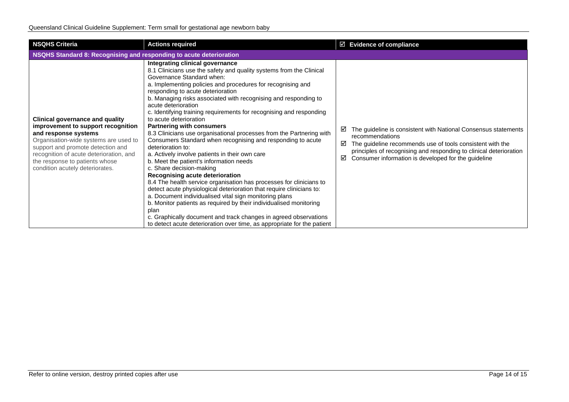| <b>NSQHS Criteria</b>                                                                                                                                                                                                                                                                              | <b>Actions required</b>                                                                                                                                                                                                                                                                                                                                                                                                                                                                                                                                                                                                                                                                                                                                                                                                                                                                                                                                                                                                                                                                                                                                                                                                              | $\boxtimes$ Evidence of compliance                                                                                                                                                                                                                                                    |  |  |
|----------------------------------------------------------------------------------------------------------------------------------------------------------------------------------------------------------------------------------------------------------------------------------------------------|--------------------------------------------------------------------------------------------------------------------------------------------------------------------------------------------------------------------------------------------------------------------------------------------------------------------------------------------------------------------------------------------------------------------------------------------------------------------------------------------------------------------------------------------------------------------------------------------------------------------------------------------------------------------------------------------------------------------------------------------------------------------------------------------------------------------------------------------------------------------------------------------------------------------------------------------------------------------------------------------------------------------------------------------------------------------------------------------------------------------------------------------------------------------------------------------------------------------------------------|---------------------------------------------------------------------------------------------------------------------------------------------------------------------------------------------------------------------------------------------------------------------------------------|--|--|
| <b>NSQHS Standard 8: Recognising and responding to acute deterioration</b>                                                                                                                                                                                                                         |                                                                                                                                                                                                                                                                                                                                                                                                                                                                                                                                                                                                                                                                                                                                                                                                                                                                                                                                                                                                                                                                                                                                                                                                                                      |                                                                                                                                                                                                                                                                                       |  |  |
| <b>Clinical governance and quality</b><br>improvement to support recognition<br>and response systems<br>Organisation-wide systems are used to<br>support and promote detection and<br>recognition of acute deterioration, and<br>the response to patients whose<br>condition acutely deteriorates. | Integrating clinical governance<br>8.1 Clinicians use the safety and quality systems from the Clinical<br>Governance Standard when:<br>a. Implementing policies and procedures for recognising and<br>responding to acute deterioration<br>b. Managing risks associated with recognising and responding to<br>acute deterioration<br>c. Identifying training requirements for recognising and responding<br>to acute deterioration<br><b>Partnering with consumers</b><br>8.3 Clinicians use organisational processes from the Partnering with<br>Consumers Standard when recognising and responding to acute<br>deterioration to:<br>a. Actively involve patients in their own care<br>b. Meet the patient's information needs<br>c. Share decision-making<br>Recognising acute deterioration<br>8.4 The health service organisation has processes for clinicians to<br>detect acute physiological deterioration that require clinicians to:<br>a. Document individualised vital sign monitoring plans<br>b. Monitor patients as required by their individualised monitoring<br>plan<br>c. Graphically document and track changes in agreed observations<br>to detect acute deterioration over time, as appropriate for the patient | The guideline is consistent with National Consensus statements<br>recommendations<br>The guideline recommends use of tools consistent with the<br>☑<br>principles of recognising and responding to clinical deterioration<br>Consumer information is developed for the guideline<br>☑ |  |  |